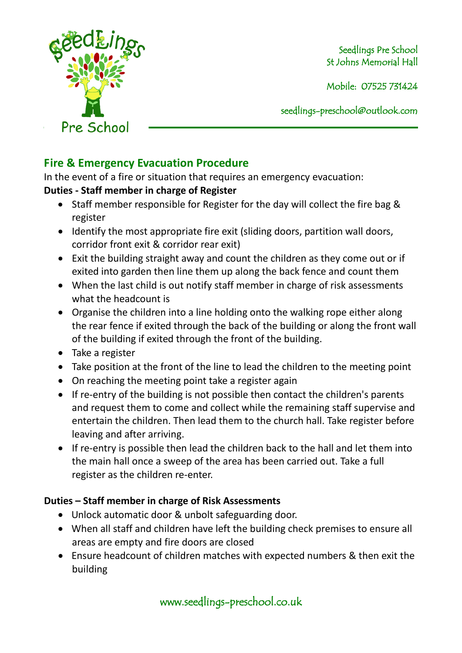

Mobile: 07525 731424

seedlings[-preschool@outlook.com](mailto:preschool@outlook.com)

# **Fire & Emergency Evacuation Procedure**

In the event of a fire or situation that requires an emergency evacuation:

## **Duties - Staff member in charge of Register**

- Staff member responsible for Register for the day will collect the fire bag & register
- Identify the most appropriate fire exit (sliding doors, partition wall doors, corridor front exit & corridor rear exit)
- Exit the building straight away and count the children as they come out or if exited into garden then line them up along the back fence and count them
- When the last child is out notify staff member in charge of risk assessments what the headcount is
- Organise the children into a line holding onto the walking rope either along the rear fence if exited through the back of the building or along the front wall of the building if exited through the front of the building.
- Take a register
- Take position at the front of the line to lead the children to the meeting point
- On reaching the meeting point take a register again
- If re-entry of the building is not possible then contact the children's parents and request them to come and collect while the remaining staff supervise and entertain the children. Then lead them to the church hall. Take register before leaving and after arriving.
- If re-entry is possible then lead the children back to the hall and let them into the main hall once a sweep of the area has been carried out. Take a full register as the children re-enter.

# **Duties – Staff member in charge of Risk Assessments**

- Unlock automatic door & unbolt safeguarding door.
- When all staff and children have left the building check premises to ensure all areas are empty and fire doors are closed
- Ensure headcount of children matches with expected numbers & then exit the building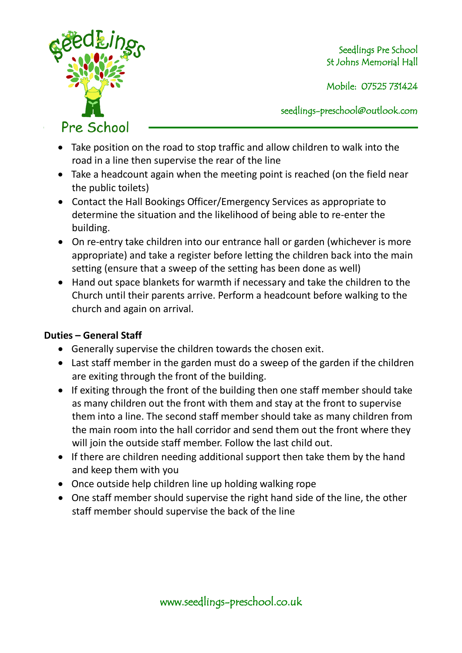

Mobile: 07525 731424

seedlings[-preschool@outlook.com](mailto:preschool@outlook.com)

- Take position on the road to stop traffic and allow children to walk into the road in a line then supervise the rear of the line
- Take a headcount again when the meeting point is reached (on the field near the public toilets)
- Contact the Hall Bookings Officer/Emergency Services as appropriate to determine the situation and the likelihood of being able to re-enter the building.
- On re-entry take children into our entrance hall or garden (whichever is more appropriate) and take a register before letting the children back into the main setting (ensure that a sweep of the setting has been done as well)
- Hand out space blankets for warmth if necessary and take the children to the Church until their parents arrive. Perform a headcount before walking to the church and again on arrival.

## **Duties – General Staff**

- Generally supervise the children towards the chosen exit.
- Last staff member in the garden must do a sweep of the garden if the children are exiting through the front of the building.
- If exiting through the front of the building then one staff member should take as many children out the front with them and stay at the front to supervise them into a line. The second staff member should take as many children from the main room into the hall corridor and send them out the front where they will join the outside staff member. Follow the last child out.
- If there are children needing additional support then take them by the hand and keep them with you
- Once outside help children line up holding walking rope
- One staff member should supervise the right hand side of the line, the other staff member should supervise the back of the line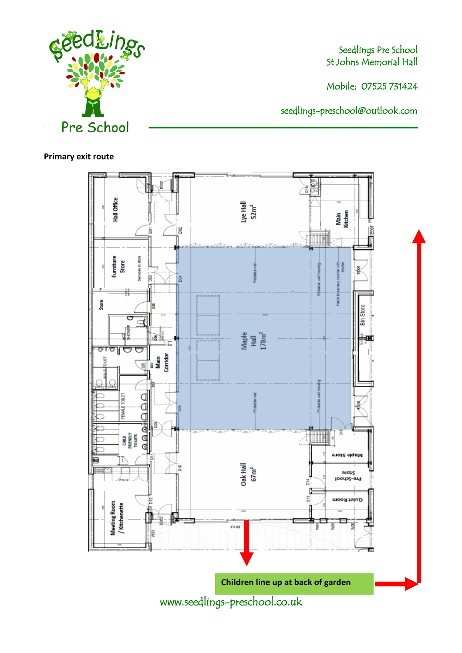

Mobile: 07525 731424

seedlings[-preschool@outlook.com](mailto:preschool@outlook.com)

#### **Primary exit route**

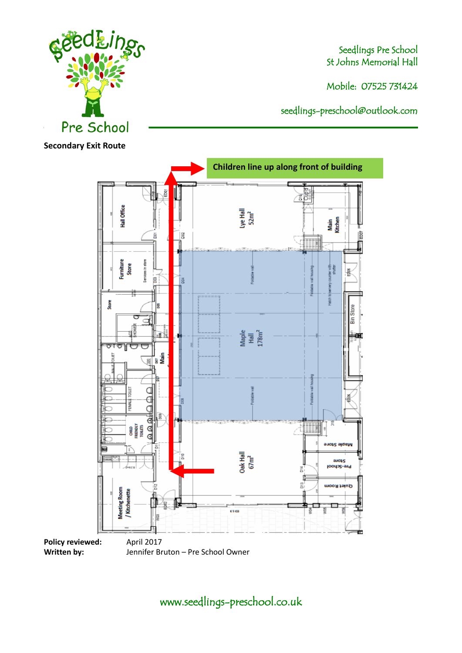Mobile: 07525 731424

seedlings[-preschool@outlook.com](mailto:preschool@outlook.com)



**Secondary Exit Route**



www.seedlings-preschool.co.uk